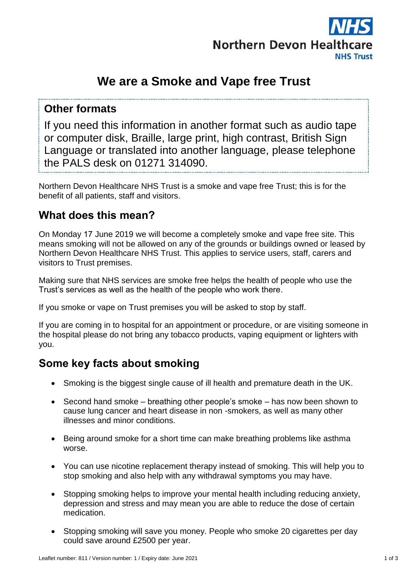

# **We are a Smoke and Vape free Trust**

### **Other formats**

If you need this information in another format such as audio tape or computer disk, Braille, large print, high contrast, British Sign Language or translated into another language, please telephone the PALS desk on 01271 314090.

Northern Devon Healthcare NHS Trust is a smoke and vape free Trust; this is for the benefit of all patients, staff and visitors.

## **What does this mean?**

On Monday 17 June 2019 we will become a completely smoke and vape free site. This means smoking will not be allowed on any of the grounds or buildings owned or leased by Northern Devon Healthcare NHS Trust. This applies to service users, staff, carers and visitors to Trust premises.

Making sure that NHS services are smoke free helps the health of people who use the Trust's services as well as the health of the people who work there.

If you smoke or vape on Trust premises you will be asked to stop by staff.

If you are coming in to hospital for an appointment or procedure, or are visiting someone in the hospital please do not bring any tobacco products, vaping equipment or lighters with you.

# **Some key facts about smoking**

- Smoking is the biggest single cause of ill health and premature death in the UK.
- Second hand smoke breathing other people's smoke has now been shown to cause lung cancer and heart disease in non -smokers, as well as many other illnesses and minor conditions.
- Being around smoke for a short time can make breathing problems like asthma worse.
- You can use nicotine replacement therapy instead of smoking. This will help you to stop smoking and also help with any withdrawal symptoms you may have.
- Stopping smoking helps to improve your mental health including reducing anxiety, depression and stress and may mean you are able to reduce the dose of certain medication.
- Stopping smoking will save you money. People who smoke 20 cigarettes per day could save around £2500 per year.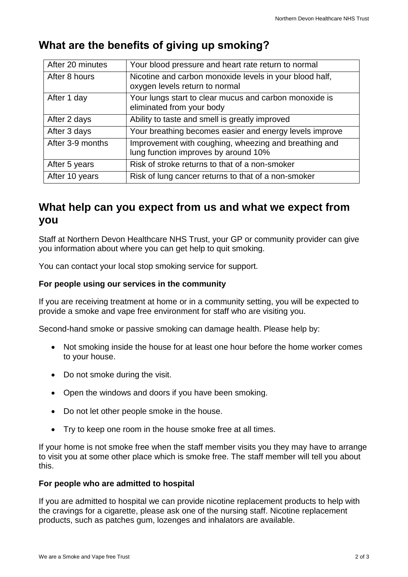| After 20 minutes | Your blood pressure and heart rate return to normal                                           |
|------------------|-----------------------------------------------------------------------------------------------|
| After 8 hours    | Nicotine and carbon monoxide levels in your blood half,<br>oxygen levels return to normal     |
| After 1 day      | Your lungs start to clear mucus and carbon monoxide is<br>eliminated from your body           |
| After 2 days     | Ability to taste and smell is greatly improved                                                |
| After 3 days     | Your breathing becomes easier and energy levels improve                                       |
| After 3-9 months | Improvement with coughing, wheezing and breathing and<br>lung function improves by around 10% |
| After 5 years    | Risk of stroke returns to that of a non-smoker                                                |
| After 10 years   | Risk of lung cancer returns to that of a non-smoker                                           |

# **What are the benefits of giving up smoking?**

# **What help can you expect from us and what we expect from you**

Staff at Northern Devon Healthcare NHS Trust, your GP or community provider can give you information about where you can get help to quit smoking.

You can contact your local stop smoking service for support.

#### **For people using our services in the community**

If you are receiving treatment at home or in a community setting, you will be expected to provide a smoke and vape free environment for staff who are visiting you.

Second-hand smoke or passive smoking can damage health. Please help by:

- Not smoking inside the house for at least one hour before the home worker comes to your house.
- Do not smoke during the visit.
- Open the windows and doors if you have been smoking.
- Do not let other people smoke in the house.
- Try to keep one room in the house smoke free at all times.

If your home is not smoke free when the staff member visits you they may have to arrange to visit you at some other place which is smoke free. The staff member will tell you about this.

#### **For people who are admitted to hospital**

If you are admitted to hospital we can provide nicotine replacement products to help with the cravings for a cigarette, please ask one of the nursing staff. Nicotine replacement products, such as patches gum, lozenges and inhalators are available.